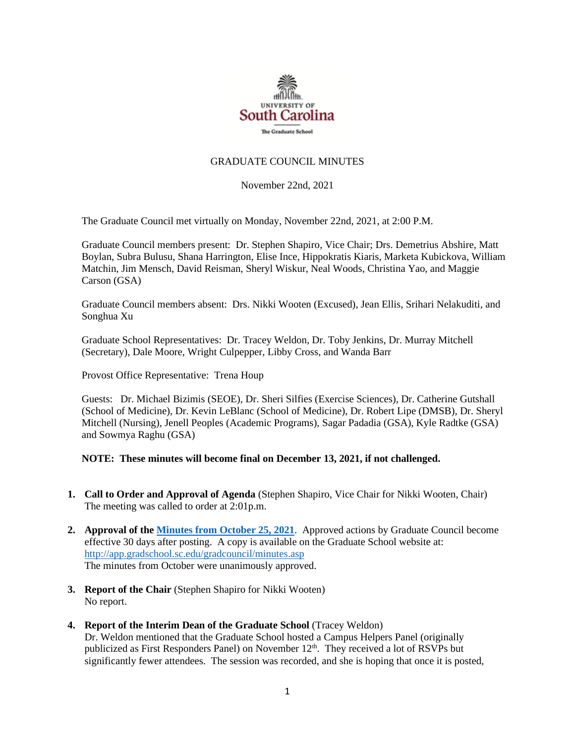

### GRADUATE COUNCIL MINUTES

November 22nd, 2021

The Graduate Council met virtually on Monday, November 22nd, 2021, at 2:00 P.M.

Graduate Council members present: Dr. Stephen Shapiro, Vice Chair; Drs. Demetrius Abshire, Matt Boylan, Subra Bulusu, Shana Harrington, Elise Ince, Hippokratis Kiaris, Marketa Kubickova, William Matchin, Jim Mensch, David Reisman, Sheryl Wiskur, Neal Woods, Christina Yao, and Maggie Carson (GSA)

Graduate Council members absent: Drs. Nikki Wooten (Excused), Jean Ellis, Srihari Nelakuditi, and Songhua Xu

Graduate School Representatives: Dr. Tracey Weldon, Dr. Toby Jenkins, Dr. Murray Mitchell (Secretary), Dale Moore, Wright Culpepper, Libby Cross, and Wanda Barr

Provost Office Representative: Trena Houp

Guests: Dr. Michael Bizimis (SEOE), Dr. Sheri Silfies (Exercise Sciences), Dr. Catherine Gutshall (School of Medicine), Dr. Kevin LeBlanc (School of Medicine), Dr. Robert Lipe (DMSB), Dr. Sheryl Mitchell (Nursing), Jenell Peoples (Academic Programs), Sagar Padadia (GSA), Kyle Radtke (GSA) and Sowmya Raghu (GSA)

# **NOTE: These minutes will become final on December 13, 2021, if not challenged.**

- **1. Call to Order and Approval of Agenda** (Stephen Shapiro, Vice Chair for Nikki Wooten, Chair) The meeting was called to order at 2:01p.m.
- **2. Approval of th[e Minutes from October](file://///COSSLAOthello.ds.sc.edu/MIRROR/GRAD/WANDAB/Profile/Documents/Agendas%20and%20Minutes/MMGCMINUTES10.25.21%20w%204%20attachments.pdf) 25, 2021**. Approved actions by Graduate Council become effective 30 days after posting. A copy is available on the Graduate School website at: <http://app.gradschool.sc.edu/gradcouncil/minutes.asp> The minutes from October were unanimously approved.
- **3. Report of the Chair** (Stephen Shapiro for Nikki Wooten) No report.
- **4. Report of the Interim Dean of the Graduate School** (Tracey Weldon) Dr. Weldon mentioned that the Graduate School hosted a Campus Helpers Panel (originally publicized as First Responders Panel) on November 12<sup>th</sup>. They received a lot of RSVPs but significantly fewer attendees. The session was recorded, and she is hoping that once it is posted,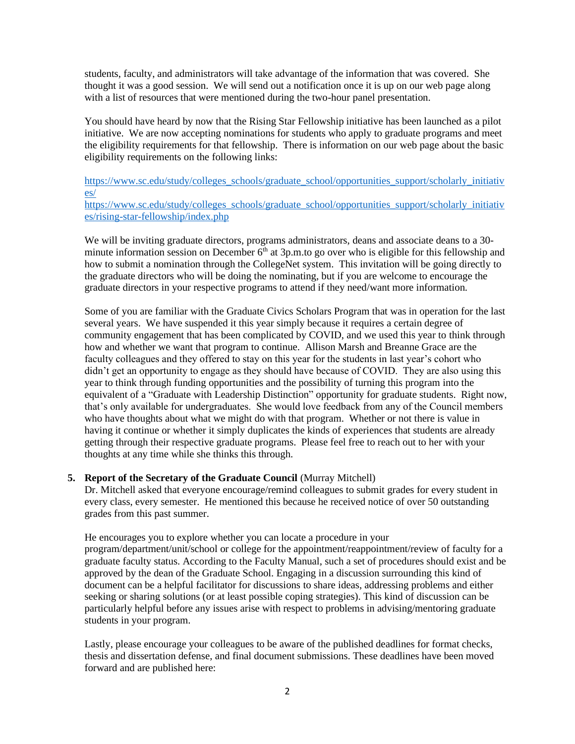students, faculty, and administrators will take advantage of the information that was covered. She thought it was a good session. We will send out a notification once it is up on our web page along with a list of resources that were mentioned during the two-hour panel presentation.

You should have heard by now that the Rising Star Fellowship initiative has been launched as a pilot initiative. We are now accepting nominations for students who apply to graduate programs and meet the eligibility requirements for that fellowship. There is information on our web page about the basic eligibility requirements on the following links:

[https://www.sc.edu/study/colleges\\_schools/graduate\\_school/opportunities\\_support/scholarly\\_initiativ](https://www.sc.edu/study/colleges_schools/graduate_school/opportunities_support/scholarly_initiatives/) [es/](https://www.sc.edu/study/colleges_schools/graduate_school/opportunities_support/scholarly_initiatives/) [https://www.sc.edu/study/colleges\\_schools/graduate\\_school/opportunities\\_support/scholarly\\_initiativ](https://www.sc.edu/study/colleges_schools/graduate_school/opportunities_support/scholarly_initiatives/rising-star-fellowship/index.php)

[es/rising-star-fellowship/index.php](https://www.sc.edu/study/colleges_schools/graduate_school/opportunities_support/scholarly_initiatives/rising-star-fellowship/index.php)

We will be inviting graduate directors, programs administrators, deans and associate deans to a 30minute information session on December  $6<sup>th</sup>$  at 3p.m.to go over who is eligible for this fellowship and how to submit a nomination through the CollegeNet system. This invitation will be going directly to the graduate directors who will be doing the nominating, but if you are welcome to encourage the graduate directors in your respective programs to attend if they need/want more information.

Some of you are familiar with the Graduate Civics Scholars Program that was in operation for the last several years. We have suspended it this year simply because it requires a certain degree of community engagement that has been complicated by COVID, and we used this year to think through how and whether we want that program to continue. Allison Marsh and Breanne Grace are the faculty colleagues and they offered to stay on this year for the students in last year's cohort who didn't get an opportunity to engage as they should have because of COVID. They are also using this year to think through funding opportunities and the possibility of turning this program into the equivalent of a "Graduate with Leadership Distinction" opportunity for graduate students. Right now, that's only available for undergraduates. She would love feedback from any of the Council members who have thoughts about what we might do with that program. Whether or not there is value in having it continue or whether it simply duplicates the kinds of experiences that students are already getting through their respective graduate programs. Please feel free to reach out to her with your thoughts at any time while she thinks this through.

# **5. Report of the Secretary of the Graduate Council** (Murray Mitchell)

Dr. Mitchell asked that everyone encourage/remind colleagues to submit grades for every student in every class, every semester. He mentioned this because he received notice of over 50 outstanding grades from this past summer.

He encourages you to explore whether you can locate a procedure in your program/department/unit/school or college for the appointment/reappointment/review of faculty for a graduate faculty status. According to the Faculty Manual, such a set of procedures should exist and be approved by the dean of the Graduate School. Engaging in a discussion surrounding this kind of document can be a helpful facilitator for discussions to share ideas, addressing problems and either seeking or sharing solutions (or at least possible coping strategies). This kind of discussion can be particularly helpful before any issues arise with respect to problems in advising/mentoring graduate students in your program.

Lastly, please encourage your colleagues to be aware of the published deadlines for format checks, thesis and dissertation defense, and final document submissions. These deadlines have been moved forward and are published here: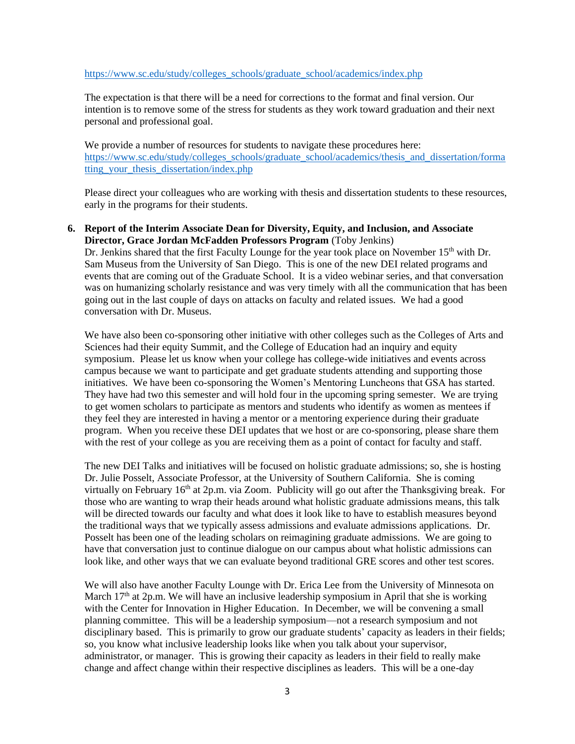#### [https://www.sc.edu/study/colleges\\_schools/graduate\\_school/academics/index.php](https://www.sc.edu/study/colleges_schools/graduate_school/academics/index.php)

The expectation is that there will be a need for corrections to the format and final version. Our intention is to remove some of the stress for students as they work toward graduation and their next personal and professional goal.

We provide a number of resources for students to navigate these procedures here: [https://www.sc.edu/study/colleges\\_schools/graduate\\_school/academics/thesis\\_and\\_dissertation/forma](https://www.sc.edu/study/colleges_schools/graduate_school/academics/thesis_and_dissertation/formatting_your_thesis_dissertation/index.php) [tting\\_your\\_thesis\\_dissertation/index.php](https://www.sc.edu/study/colleges_schools/graduate_school/academics/thesis_and_dissertation/formatting_your_thesis_dissertation/index.php)

Please direct your colleagues who are working with thesis and dissertation students to these resources, early in the programs for their students.

#### **6. Report of the Interim Associate Dean for Diversity, Equity, and Inclusion, and Associate Director, Grace Jordan McFadden Professors Program** (Toby Jenkins)

Dr. Jenkins shared that the first Faculty Lounge for the year took place on November 15<sup>th</sup> with Dr. Sam Museus from the University of San Diego. This is one of the new DEI related programs and events that are coming out of the Graduate School. It is a video webinar series, and that conversation was on humanizing scholarly resistance and was very timely with all the communication that has been going out in the last couple of days on attacks on faculty and related issues. We had a good conversation with Dr. Museus.

We have also been co-sponsoring other initiative with other colleges such as the Colleges of Arts and Sciences had their equity Summit, and the College of Education had an inquiry and equity symposium. Please let us know when your college has college-wide initiatives and events across campus because we want to participate and get graduate students attending and supporting those initiatives. We have been co-sponsoring the Women's Mentoring Luncheons that GSA has started. They have had two this semester and will hold four in the upcoming spring semester. We are trying to get women scholars to participate as mentors and students who identify as women as mentees if they feel they are interested in having a mentor or a mentoring experience during their graduate program. When you receive these DEI updates that we host or are co-sponsoring, please share them with the rest of your college as you are receiving them as a point of contact for faculty and staff.

The new DEI Talks and initiatives will be focused on holistic graduate admissions; so, she is hosting Dr. Julie Posselt, Associate Professor, at the University of Southern California. She is coming virtually on February  $16<sup>th</sup>$  at 2p.m. via Zoom. Publicity will go out after the Thanksgiving break. For those who are wanting to wrap their heads around what holistic graduate admissions means, this talk will be directed towards our faculty and what does it look like to have to establish measures beyond the traditional ways that we typically assess admissions and evaluate admissions applications. Dr. Posselt has been one of the leading scholars on reimagining graduate admissions. We are going to have that conversation just to continue dialogue on our campus about what holistic admissions can look like, and other ways that we can evaluate beyond traditional GRE scores and other test scores.

We will also have another Faculty Lounge with Dr. Erica Lee from the University of Minnesota on March  $17<sup>th</sup>$  at  $2p.m.$  We will have an inclusive leadership symposium in April that she is working with the Center for Innovation in Higher Education. In December, we will be convening a small planning committee. This will be a leadership symposium—not a research symposium and not disciplinary based. This is primarily to grow our graduate students' capacity as leaders in their fields; so, you know what inclusive leadership looks like when you talk about your supervisor, administrator, or manager. This is growing their capacity as leaders in their field to really make change and affect change within their respective disciplines as leaders. This will be a one-day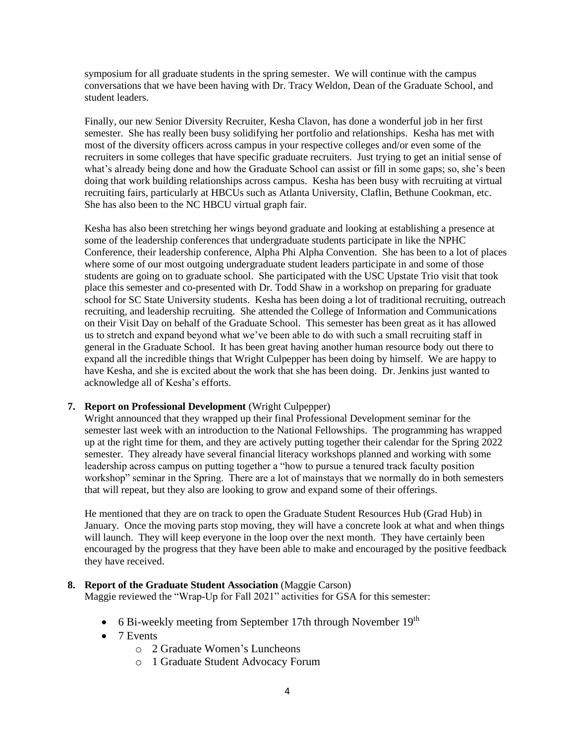symposium for all graduate students in the spring semester. We will continue with the campus conversations that we have been having with Dr. Tracy Weldon, Dean of the Graduate School, and student leaders.

Finally, our new Senior Diversity Recruiter, Kesha Clavon, has done a wonderful job in her first semester. She has really been busy solidifying her portfolio and relationships. Kesha has met with most of the diversity officers across campus in your respective colleges and/or even some of the recruiters in some colleges that have specific graduate recruiters. Just trying to get an initial sense of what's already being done and how the Graduate School can assist or fill in some gaps; so, she's been doing that work building relationships across campus. Kesha has been busy with recruiting at virtual recruiting fairs, particularly at HBCUs such as Atlanta University, Claflin, Bethune Cookman, etc. She has also been to the NC HBCU virtual graph fair.

Kesha has also been stretching her wings beyond graduate and looking at establishing a presence at some of the leadership conferences that undergraduate students participate in like the NPHC Conference, their leadership conference, Alpha Phi Alpha Convention. She has been to a lot of places where some of our most outgoing undergraduate student leaders participate in and some of those students are going on to graduate school. She participated with the USC Upstate Trio visit that took place this semester and co-presented with Dr. Todd Shaw in a workshop on preparing for graduate school for SC State University students. Kesha has been doing a lot of traditional recruiting, outreach recruiting, and leadership recruiting. She attended the College of Information and Communications on their Visit Day on behalf of the Graduate School. This semester has been great as it has allowed us to stretch and expand beyond what we've been able to do with such a small recruiting staff in general in the Graduate School. It has been great having another human resource body out there to expand all the incredible things that Wright Culpepper has been doing by himself. We are happy to have Kesha, and she is excited about the work that she has been doing. Dr. Jenkins just wanted to acknowledge all of Kesha's efforts.

## **7. Report on Professional Development** (Wright Culpepper)

Wright announced that they wrapped up their final Professional Development seminar for the semester last week with an introduction to the National Fellowships. The programming has wrapped up at the right time for them, and they are actively putting together their calendar for the Spring 2022 semester. They already have several financial literacy workshops planned and working with some leadership across campus on putting together a "how to pursue a tenured track faculty position workshop" seminar in the Spring. There are a lot of mainstays that we normally do in both semesters that will repeat, but they also are looking to grow and expand some of their offerings.

He mentioned that they are on track to open the Graduate Student Resources Hub (Grad Hub) in January. Once the moving parts stop moving, they will have a concrete look at what and when things will launch. They will keep everyone in the loop over the next month. They have certainly been encouraged by the progress that they have been able to make and encouraged by the positive feedback they have received.

# 8. **Report of the Graduate Student Association** (Maggie Carson)

Maggie reviewed the "Wrap-Up for Fall 2021" activities for GSA for this semester:

- 6 Bi-weekly meeting from September 17th through November 19<sup>th</sup>
- 7 Events
	- o 2 Graduate Women's Luncheons
	- o 1 Graduate Student Advocacy Forum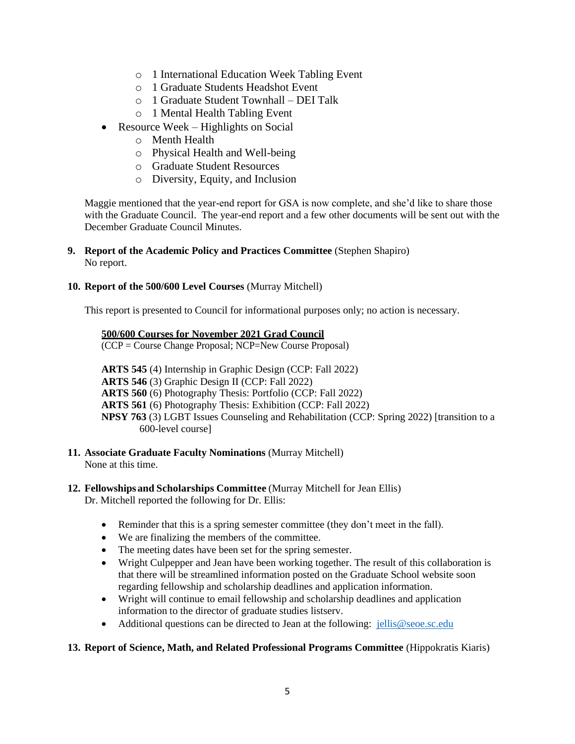- o 1 International Education Week Tabling Event
- o 1 Graduate Students Headshot Event
- o 1 Graduate Student Townhall DEI Talk
- o 1 Mental Health Tabling Event
- Resource Week Highlights on Social
	- o Menth Health
	- o Physical Health and Well-being
	- o Graduate Student Resources
	- o Diversity, Equity, and Inclusion

Maggie mentioned that the year-end report for GSA is now complete, and she'd like to share those with the Graduate Council. The year-end report and a few other documents will be sent out with the December Graduate Council Minutes.

**9. Report of the Academic Policy and Practices Committee** (Stephen Shapiro) No report.

#### **10. Report of the 500/600 Level Courses** (Murray Mitchell)

This report is presented to Council for informational purposes only; no action is necessary.

#### **500/600 Courses for November 2021 Grad Council**

(CCP = Course Change Proposal; NCP=New Course Proposal)

**ARTS 545** (4) Internship in Graphic Design (CCP: Fall 2022) **ARTS 546** (3) Graphic Design II (CCP: Fall 2022) **ARTS 560** (6) Photography Thesis: Portfolio (CCP: Fall 2022) **ARTS 561** (6) Photography Thesis: Exhibition (CCP: Fall 2022) **NPSY 763** (3) LGBT Issues Counseling and Rehabilitation (CCP: Spring 2022) [transition to a 600-level course]

**11. Associate Graduate Faculty Nominations** (Murray Mitchell) None at this time.

# **12. Fellowships and Scholarships Committee** (Murray Mitchell for Jean Ellis)

Dr. Mitchell reported the following for Dr. Ellis:

- Reminder that this is a spring semester committee (they don't meet in the fall).
- We are finalizing the members of the committee.
- The meeting dates have been set for the spring semester.
- Wright Culpepper and Jean have been working together. The result of this collaboration is that there will be streamlined information posted on the Graduate School website soon regarding fellowship and scholarship deadlines and application information.
- Wright will continue to email fellowship and scholarship deadlines and application information to the director of graduate studies listserv.
- Additional questions can be directed to Jean at the following: [jellis@seoe.sc.edu](mailto:jellis@seoe.sc.edu)

### **13. Report of Science, Math, and Related Professional Programs Committee** (Hippokratis Kiaris)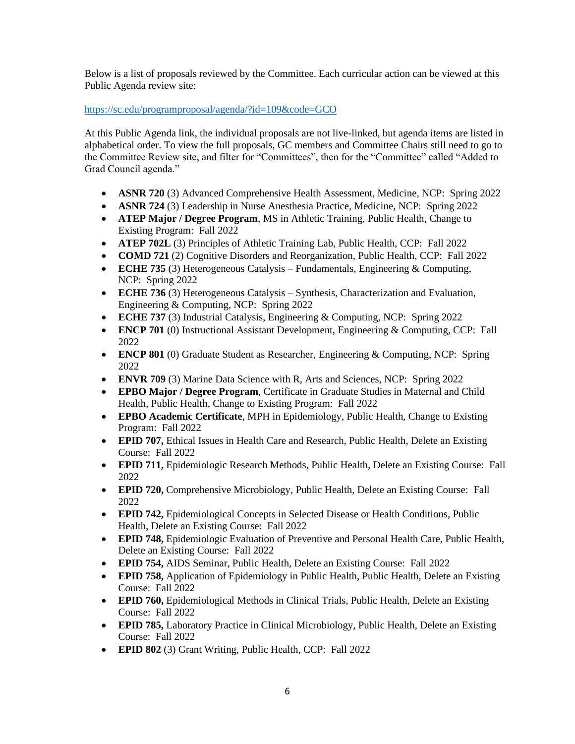Below is a list of proposals reviewed by the Committee. Each curricular action can be viewed at this Public Agenda review site:

<https://sc.edu/programproposal/agenda/?id=109&code=GCO>

At this Public Agenda link, the individual proposals are not live-linked, but agenda items are listed in alphabetical order. To view the full proposals, GC members and Committee Chairs still need to go to the Committee Review site, and filter for "Committees", then for the "Committee" called "Added to Grad Council agenda."

- **ASNR 720** (3) Advanced Comprehensive Health Assessment, Medicine, NCP: Spring 2022
- **ASNR 724** (3) Leadership in Nurse Anesthesia Practice, Medicine, NCP: Spring 2022
- **ATEP Major / Degree Program**, MS in Athletic Training, Public Health, Change to Existing Program: Fall 2022
- **ATEP 702L** (3) Principles of Athletic Training Lab, Public Health, CCP: Fall 2022
- **COMD 721** (2) Cognitive Disorders and Reorganization, Public Health, CCP: Fall 2022
- **ECHE 735** (3) Heterogeneous Catalysis Fundamentals, Engineering & Computing, NCP: Spring 2022
- **ECHE 736** (3) Heterogeneous Catalysis Synthesis, Characterization and Evaluation, Engineering & Computing, NCP: Spring 2022
- **ECHE 737** (3) Industrial Catalysis, Engineering & Computing, NCP: Spring 2022
- **ENCP 701** (0) Instructional Assistant Development, Engineering & Computing, CCP: Fall 2022
- **ENCP 801** (0) Graduate Student as Researcher, Engineering & Computing, NCP: Spring 2022
- **ENVR 709** (3) Marine Data Science with R, Arts and Sciences, NCP: Spring 2022
- **EPBO Major / Degree Program**, Certificate in Graduate Studies in Maternal and Child Health, Public Health, Change to Existing Program: Fall 2022
- **EPBO Academic Certificate**, MPH in Epidemiology, Public Health, Change to Existing Program: Fall 2022
- **EPID 707, Ethical Issues in Health Care and Research, Public Health, Delete an Existing** Course: Fall 2022
- **EPID 711,** Epidemiologic Research Methods, Public Health, Delete an Existing Course: Fall 2022
- **EPID 720, Comprehensive Microbiology, Public Health, Delete an Existing Course: Fall** 2022
- **EPID 742,** Epidemiological Concepts in Selected Disease or Health Conditions, Public Health, Delete an Existing Course: Fall 2022
- **EPID 748,** Epidemiologic Evaluation of Preventive and Personal Health Care, Public Health, Delete an Existing Course: Fall 2022
- **EPID 754,** AIDS Seminar, Public Health, Delete an Existing Course: Fall 2022
- **EPID 758,** Application of Epidemiology in Public Health, Public Health, Delete an Existing Course: Fall 2022
- **EPID 760,** Epidemiological Methods in Clinical Trials, Public Health, Delete an Existing Course: Fall 2022
- **EPID 785,** Laboratory Practice in Clinical Microbiology, Public Health, Delete an Existing Course: Fall 2022
- **EPID 802** (3) Grant Writing, Public Health, CCP: Fall 2022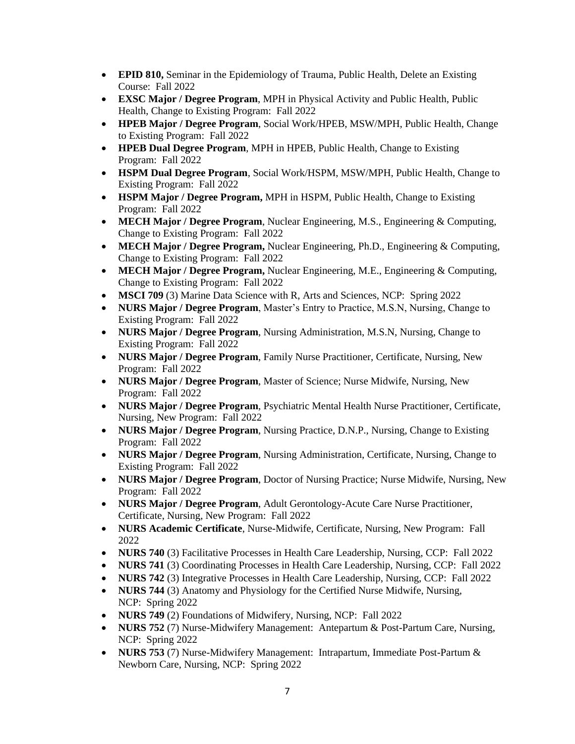- **EPID 810,** Seminar in the Epidemiology of Trauma, Public Health, Delete an Existing Course: Fall 2022
- **EXSC Major / Degree Program**, MPH in Physical Activity and Public Health, Public Health, Change to Existing Program: Fall 2022
- **HPEB Major / Degree Program**, Social Work/HPEB, MSW/MPH, Public Health, Change to Existing Program: Fall 2022
- **HPEB Dual Degree Program**, MPH in HPEB, Public Health, Change to Existing Program: Fall 2022
- **HSPM Dual Degree Program**, Social Work/HSPM, MSW/MPH, Public Health, Change to Existing Program: Fall 2022
- **HSPM Major / Degree Program,** MPH in HSPM, Public Health, Change to Existing Program: Fall 2022
- **MECH Major / Degree Program**, Nuclear Engineering, M.S., Engineering & Computing, Change to Existing Program: Fall 2022
- **MECH Major / Degree Program,** Nuclear Engineering, Ph.D., Engineering & Computing, Change to Existing Program: Fall 2022
- **MECH Major / Degree Program,** Nuclear Engineering, M.E., Engineering & Computing, Change to Existing Program: Fall 2022
- **MSCI 709** (3) Marine Data Science with R, Arts and Sciences, NCP: Spring 2022
- **NURS Major / Degree Program**, Master's Entry to Practice, M.S.N, Nursing, Change to Existing Program: Fall 2022
- **NURS Major / Degree Program**, Nursing Administration, M.S.N, Nursing, Change to Existing Program: Fall 2022
- **NURS Major / Degree Program**, Family Nurse Practitioner, Certificate, Nursing, New Program: Fall 2022
- **NURS Major / Degree Program**, Master of Science; Nurse Midwife, Nursing, New Program: Fall 2022
- **NURS Major / Degree Program**, Psychiatric Mental Health Nurse Practitioner, Certificate, Nursing, New Program: Fall 2022
- **NURS Major / Degree Program**, Nursing Practice, D.N.P., Nursing, Change to Existing Program: Fall 2022
- **NURS Major / Degree Program**, Nursing Administration, Certificate, Nursing, Change to Existing Program: Fall 2022
- **NURS Major / Degree Program**, Doctor of Nursing Practice; Nurse Midwife, Nursing, New Program: Fall 2022
- **NURS Major / Degree Program**, Adult Gerontology-Acute Care Nurse Practitioner, Certificate, Nursing, New Program: Fall 2022
- **NURS Academic Certificate**, Nurse-Midwife, Certificate, Nursing, New Program: Fall 2022
- **NURS 740** (3) Facilitative Processes in Health Care Leadership, Nursing, CCP: Fall 2022
- **NURS 741** (3) Coordinating Processes in Health Care Leadership, Nursing, CCP: Fall 2022
- **NURS 742** (3) Integrative Processes in Health Care Leadership, Nursing, CCP: Fall 2022
- **NURS 744** (3) Anatomy and Physiology for the Certified Nurse Midwife, Nursing, NCP: Spring 2022
- **NURS 749** (2) Foundations of Midwifery, Nursing, NCP: Fall 2022
- **NURS 752** (7) Nurse-Midwifery Management: Antepartum & Post-Partum Care, Nursing, NCP: Spring 2022
- **NURS 753** (7) Nurse-Midwifery Management: Intrapartum, Immediate Post-Partum & Newborn Care, Nursing, NCP: Spring 2022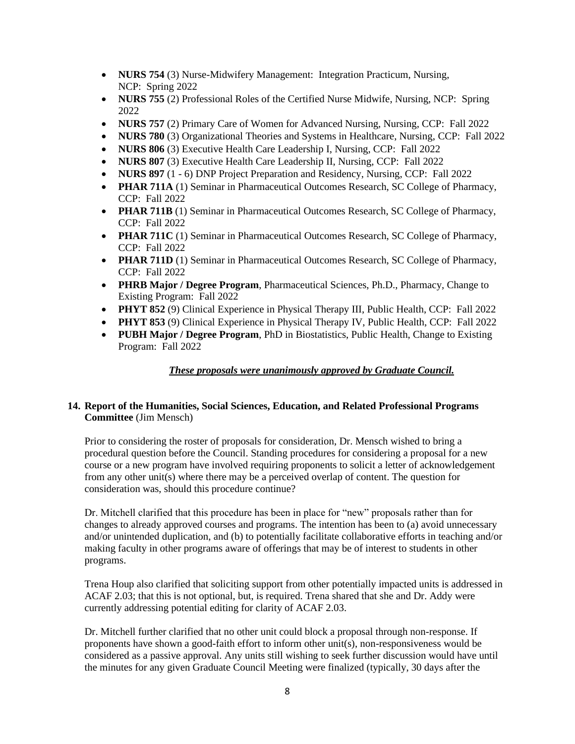- **NURS 754** (3) Nurse-Midwifery Management: Integration Practicum, Nursing, NCP: Spring 2022
- **NURS 755** (2) Professional Roles of the Certified Nurse Midwife, Nursing, NCP: Spring 2022
- **NURS 757** (2) Primary Care of Women for Advanced Nursing, Nursing, CCP: Fall 2022
- **NURS 780** (3) Organizational Theories and Systems in Healthcare, Nursing, CCP: Fall 2022
- **NURS 806** (3) Executive Health Care Leadership I, Nursing, CCP: Fall 2022
- **NURS 807** (3) Executive Health Care Leadership II, Nursing, CCP: Fall 2022
- **NURS 897** (1 6) DNP Project Preparation and Residency, Nursing, CCP: Fall 2022
- **PHAR 711A** (1) Seminar in Pharmaceutical Outcomes Research, SC College of Pharmacy, CCP: Fall 2022
- **PHAR 711B** (1) Seminar in Pharmaceutical Outcomes Research, SC College of Pharmacy, CCP: Fall 2022
- **PHAR 711C** (1) Seminar in Pharmaceutical Outcomes Research, SC College of Pharmacy, CCP: Fall 2022
- **PHAR 711D** (1) Seminar in Pharmaceutical Outcomes Research, SC College of Pharmacy, CCP: Fall 2022
- **PHRB Major / Degree Program**, Pharmaceutical Sciences, Ph.D., Pharmacy, Change to Existing Program: Fall 2022
- **PHYT 852** (9) Clinical Experience in Physical Therapy III, Public Health, CCP: Fall 2022
- **PHYT 853** (9) Clinical Experience in Physical Therapy IV, Public Health, CCP: Fall 2022
- **PUBH Major / Degree Program**, PhD in Biostatistics, Public Health, Change to Existing Program: Fall 2022

## *These proposals were unanimously approved by Graduate Council.*

# **14. Report of the Humanities, Social Sciences, Education, and Related Professional Programs Committee** (Jim Mensch)

Prior to considering the roster of proposals for consideration, Dr. Mensch wished to bring a procedural question before the Council. Standing procedures for considering a proposal for a new course or a new program have involved requiring proponents to solicit a letter of acknowledgement from any other unit(s) where there may be a perceived overlap of content. The question for consideration was, should this procedure continue?

Dr. Mitchell clarified that this procedure has been in place for "new" proposals rather than for changes to already approved courses and programs. The intention has been to (a) avoid unnecessary and/or unintended duplication, and (b) to potentially facilitate collaborative efforts in teaching and/or making faculty in other programs aware of offerings that may be of interest to students in other programs.

Trena Houp also clarified that soliciting support from other potentially impacted units is addressed in ACAF 2.03; that this is not optional, but, is required. Trena shared that she and Dr. Addy were currently addressing potential editing for clarity of ACAF 2.03.

Dr. Mitchell further clarified that no other unit could block a proposal through non-response. If proponents have shown a good-faith effort to inform other unit(s), non-responsiveness would be considered as a passive approval. Any units still wishing to seek further discussion would have until the minutes for any given Graduate Council Meeting were finalized (typically, 30 days after the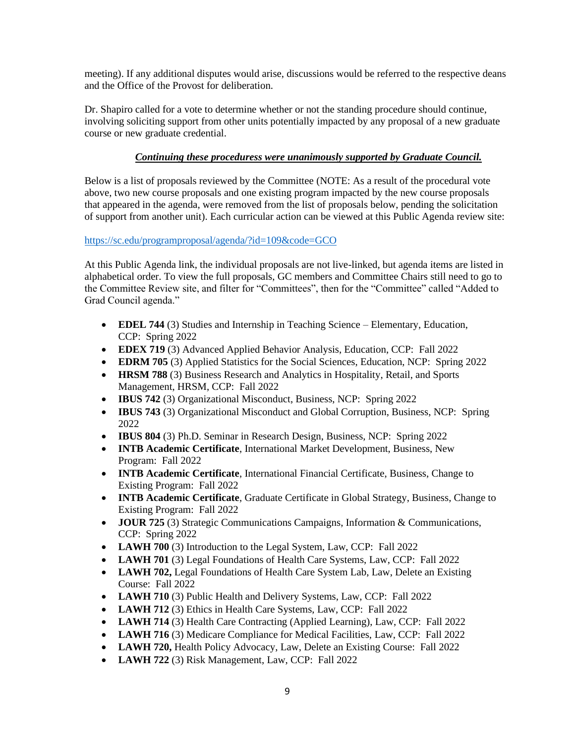meeting). If any additional disputes would arise, discussions would be referred to the respective deans and the Office of the Provost for deliberation.

Dr. Shapiro called for a vote to determine whether or not the standing procedure should continue, involving soliciting support from other units potentially impacted by any proposal of a new graduate course or new graduate credential.

# *Continuing these proceduress were unanimously supported by Graduate Council.*

Below is a list of proposals reviewed by the Committee (NOTE: As a result of the procedural vote above, two new course proposals and one existing program impacted by the new course proposals that appeared in the agenda, were removed from the list of proposals below, pending the solicitation of support from another unit). Each curricular action can be viewed at this Public Agenda review site:

### <https://sc.edu/programproposal/agenda/?id=109&code=GCO>

At this Public Agenda link, the individual proposals are not live-linked, but agenda items are listed in alphabetical order. To view the full proposals, GC members and Committee Chairs still need to go to the Committee Review site, and filter for "Committees", then for the "Committee" called "Added to Grad Council agenda."

- **EDEL 744** (3) Studies and Internship in Teaching Science Elementary, Education, CCP: Spring 2022
- **EDEX 719** (3) Advanced Applied Behavior Analysis, Education, CCP: Fall 2022
- **EDRM 705** (3) Applied Statistics for the Social Sciences, Education, NCP: Spring 2022
- **HRSM 788** (3) Business Research and Analytics in Hospitality, Retail, and Sports Management, HRSM, CCP: Fall 2022
- **IBUS 742** (3) Organizational Misconduct, Business, NCP: Spring 2022
- **IBUS 743** (3) Organizational Misconduct and Global Corruption, Business, NCP: Spring 2022
- **IBUS 804** (3) Ph.D. Seminar in Research Design, Business, NCP: Spring 2022
- **INTB Academic Certificate**, International Market Development, Business, New Program: Fall 2022
- **INTB Academic Certificate**, International Financial Certificate, Business, Change to Existing Program: Fall 2022
- **INTB Academic Certificate**, Graduate Certificate in Global Strategy, Business, Change to Existing Program: Fall 2022
- **JOUR 725** (3) Strategic Communications Campaigns, Information & Communications, CCP: Spring 2022
- **LAWH 700** (3) Introduction to the Legal System, Law, CCP: Fall 2022
- LAWH 701 (3) Legal Foundations of Health Care Systems, Law, CCP: Fall 2022
- **LAWH 702, Legal Foundations of Health Care System Lab, Law, Delete an Existing** Course: Fall 2022
- **LAWH 710** (3) Public Health and Delivery Systems, Law, CCP: Fall 2022
- **LAWH 712** (3) Ethics in Health Care Systems, Law, CCP: Fall 2022
- **LAWH 714** (3) Health Care Contracting (Applied Learning), Law, CCP: Fall 2022
- LAWH 716 (3) Medicare Compliance for Medical Facilities, Law, CCP: Fall 2022
- **LAWH 720,** Health Policy Advocacy, Law, Delete an Existing Course: Fall 2022
- **LAWH 722** (3) Risk Management, Law, CCP: Fall 2022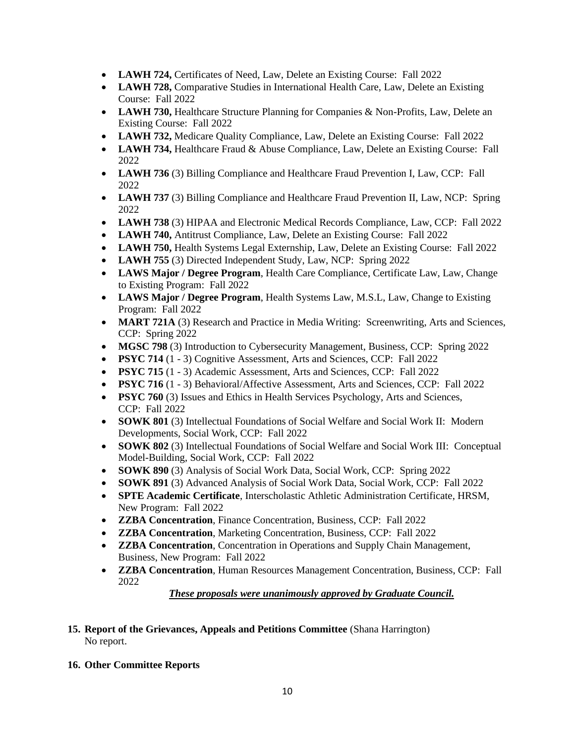- **LAWH 724, Certificates of Need, Law, Delete an Existing Course: Fall 2022**
- **LAWH 728,** Comparative Studies in International Health Care, Law, Delete an Existing Course: Fall 2022
- **LAWH 730, Healthcare Structure Planning for Companies & Non-Profits, Law, Delete an** Existing Course: Fall 2022
- **LAWH 732,** Medicare Quality Compliance, Law, Delete an Existing Course: Fall 2022
- LAWH 734, Healthcare Fraud & Abuse Compliance, Law, Delete an Existing Course: Fall 2022
- **LAWH 736** (3) Billing Compliance and Healthcare Fraud Prevention I, Law, CCP: Fall 2022
- **LAWH 737** (3) Billing Compliance and Healthcare Fraud Prevention II, Law, NCP: Spring 2022
- **LAWH 738** (3) HIPAA and Electronic Medical Records Compliance, Law, CCP: Fall 2022
- **LAWH 740,** Antitrust Compliance, Law, Delete an Existing Course: Fall 2022
- **LAWH 750, Health Systems Legal Externship, Law, Delete an Existing Course: Fall 2022**
- **LAWH 755** (3) Directed Independent Study, Law, NCP: Spring 2022
- **LAWS Major / Degree Program**, Health Care Compliance, Certificate Law, Law, Change to Existing Program: Fall 2022
- **LAWS Major / Degree Program**, Health Systems Law, M.S.L, Law, Change to Existing Program: Fall 2022
- **MART 721A** (3) Research and Practice in Media Writing: Screenwriting, Arts and Sciences, CCP: Spring 2022
- **MGSC 798** (3) Introduction to Cybersecurity Management, Business, CCP: Spring 2022
- **PSYC 714** (1 3) Cognitive Assessment, Arts and Sciences, CCP: Fall 2022
- **PSYC 715** (1 3) Academic Assessment, Arts and Sciences, CCP: Fall 2022
- **PSYC 716** (1 3) Behavioral/Affective Assessment, Arts and Sciences, CCP: Fall 2022
- **PSYC 760** (3) Issues and Ethics in Health Services Psychology, Arts and Sciences, CCP: Fall 2022
- **SOWK 801** (3) Intellectual Foundations of Social Welfare and Social Work II: Modern Developments, Social Work, CCP: Fall 2022
- **SOWK 802** (3) Intellectual Foundations of Social Welfare and Social Work III: Conceptual Model-Building, Social Work, CCP: Fall 2022
- **SOWK 890** (3) Analysis of Social Work Data, Social Work, CCP: Spring 2022
- **SOWK 891** (3) Advanced Analysis of Social Work Data, Social Work, CCP: Fall 2022
- **SPTE Academic Certificate**, Interscholastic Athletic Administration Certificate, HRSM, New Program: Fall 2022
- **ZZBA Concentration**, Finance Concentration, Business, CCP: Fall 2022
- **ZZBA Concentration**, Marketing Concentration, Business, CCP: Fall 2022
- **ZZBA Concentration**, Concentration in Operations and Supply Chain Management, Business, New Program: Fall 2022
- **ZZBA Concentration**, Human Resources Management Concentration, Business, CCP: Fall 2022

*These proposals were unanimously approved by Graduate Council.*

# **15. Report of the Grievances, Appeals and Petitions Committee** (Shana Harrington) No report.

# **16. Other Committee Reports**